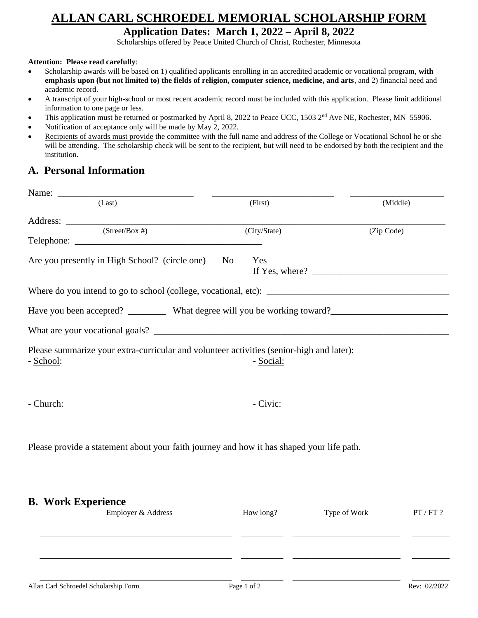## **ALLAN CARL SCHROEDEL MEMORIAL SCHOLARSHIP FORM**

### **Application Dates: March 1, 2022 – April 8, 2022**

Scholarships offered by Peace United Church of Christ, Rochester, Minnesota

#### **Attention: Please read carefully**:

- Scholarship awards will be based on 1) qualified applicants enrolling in an accredited academic or vocational program, **with emphasis upon (but not limited to) the fields of religion, computer science, medicine, and arts**, and 2) financial need and academic record.
- A transcript of your high-school or most recent academic record must be included with this application. Please limit additional information to one page or less.
- This application must be returned or postmarked by April 8, 2022 to Peace UCC, 1503 2<sup>nd</sup> Ave NE, Rochester, MN 55906.
- Notification of acceptance only will be made by May 2, 2022*.*
- Recipients of awards must provide the committee with the full name and address of the College or Vocational School he or she will be attending. The scholarship check will be sent to the recipient, but will need to be endorsed by both the recipient and the institution.

## **A. Personal Information**

| Name:                                                                                                 |              |              |           |
|-------------------------------------------------------------------------------------------------------|--------------|--------------|-----------|
| (Last)                                                                                                | (First)      | (Middle)     |           |
|                                                                                                       |              |              |           |
| $\sqrt{(Street/Box \#)}$                                                                              | (City/State) | (Zip Code)   |           |
| Are you presently in High School? (circle one)                                                        | Yes<br>No    |              |           |
|                                                                                                       |              |              |           |
| Have you been accepted? ___________ What degree will you be working toward?_________________________  |              |              |           |
|                                                                                                       |              |              |           |
| Please summarize your extra-curricular and volunteer activities (senior-high and later):<br>- School: | - Social:    |              |           |
| - Church:                                                                                             | - Civic:     |              |           |
| Please provide a statement about your faith journey and how it has shaped your life path.             |              |              |           |
| <b>B.</b> Work Experience<br>Employer & Address                                                       | How long?    | Type of Work | PT / FT ? |
|                                                                                                       |              |              |           |

 $\overline{\phantom{a}}$  , and the set of the set of the set of the set of the set of the set of the set of the set of the set of the set of the set of the set of the set of the set of the set of the set of the set of the set of the s